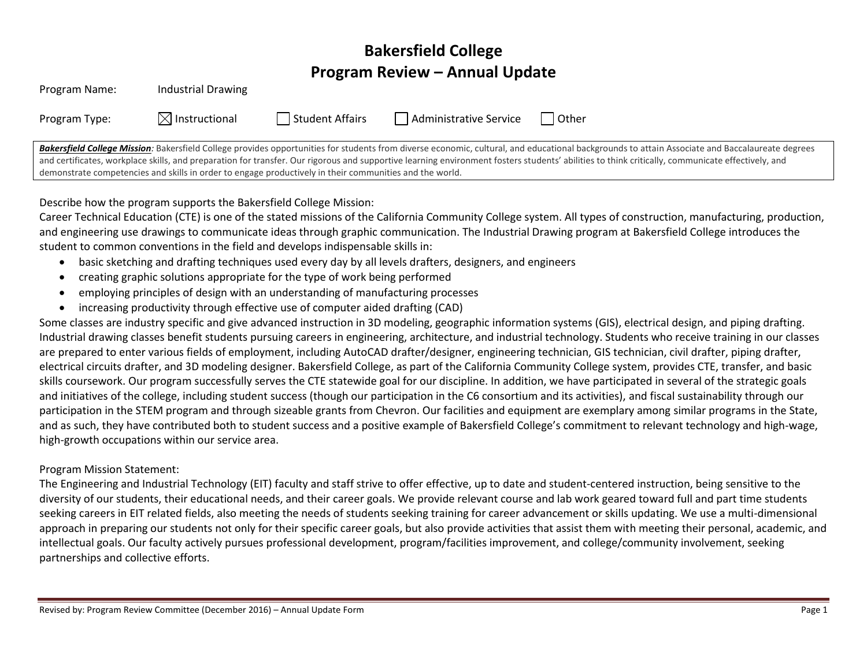# **Bakersfield College Program Review – Annual Update**

| Program Name:                                                                                           | <b>Industrial Drawing</b> |                 |                        |                                                                                                                                                                                                  |
|---------------------------------------------------------------------------------------------------------|---------------------------|-----------------|------------------------|--------------------------------------------------------------------------------------------------------------------------------------------------------------------------------------------------|
| Program Type:                                                                                           | $\boxtimes$ Instructional | Student Affairs | Administrative Service | l Other                                                                                                                                                                                          |
|                                                                                                         |                           |                 |                        | Bakersfield College Mission: Bakersfield College provides opportunities for students from diverse economic, cultural, and educational backgrounds to attain Associate and Baccalaureate degrees  |
|                                                                                                         |                           |                 |                        | and certificates, workplace skills, and preparation for transfer. Our rigorous and supportive learning environment fosters students' abilities to think critically, communicate effectively, and |
| demonstrate competencies and skills in order to engage productively in their communities and the world. |                           |                 |                        |                                                                                                                                                                                                  |

Describe how the program supports the Bakersfield College Mission:

Career Technical Education (CTE) is one of the stated missions of the California Community College system. All types of construction, manufacturing, production, and engineering use drawings to communicate ideas through graphic communication. The Industrial Drawing program at Bakersfield College introduces the student to common conventions in the field and develops indispensable skills in:

- basic sketching and drafting techniques used every day by all levels drafters, designers, and engineers
- creating graphic solutions appropriate for the type of work being performed
- employing principles of design with an understanding of manufacturing processes
- increasing productivity through effective use of computer aided drafting (CAD)

Some classes are industry specific and give advanced instruction in 3D modeling, geographic information systems (GIS), electrical design, and piping drafting. Industrial drawing classes benefit students pursuing careers in engineering, architecture, and industrial technology. Students who receive training in our classes are prepared to enter various fields of employment, including AutoCAD drafter/designer, engineering technician, GIS technician, civil drafter, piping drafter, electrical circuits drafter, and 3D modeling designer. Bakersfield College, as part of the California Community College system, provides CTE, transfer, and basic skills coursework. Our program successfully serves the CTE statewide goal for our discipline. In addition, we have participated in several of the strategic goals and initiatives of the college, including student success (though our participation in the C6 consortium and its activities), and fiscal sustainability through our participation in the STEM program and through sizeable grants from Chevron. Our facilities and equipment are exemplary among similar programs in the State, and as such, they have contributed both to student success and a positive example of Bakersfield College's commitment to relevant technology and high-wage, high-growth occupations within our service area.

### Program Mission Statement:

The Engineering and Industrial Technology (EIT) faculty and staff strive to offer effective, up to date and student-centered instruction, being sensitive to the diversity of our students, their educational needs, and their career goals. We provide relevant course and lab work geared toward full and part time students seeking careers in EIT related fields, also meeting the needs of students seeking training for career advancement or skills updating. We use a multi-dimensional approach in preparing our students not only for their specific career goals, but also provide activities that assist them with meeting their personal, academic, and intellectual goals. Our faculty actively pursues professional development, program/facilities improvement, and college/community involvement, seeking partnerships and collective efforts.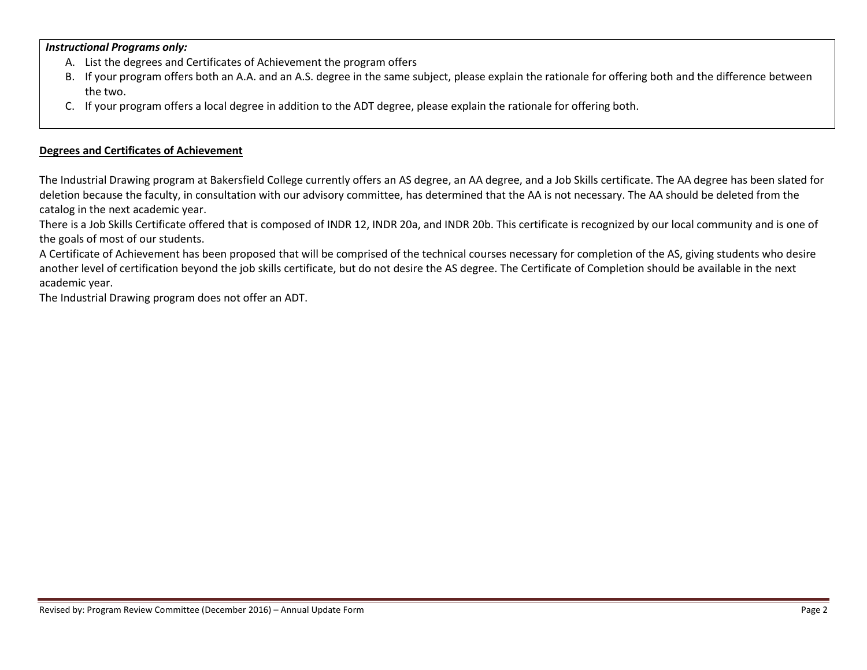### *Instructional Programs only:*

- A. List the degrees and Certificates of Achievement the program offers
- B. If your program offers both an A.A. and an A.S. degree in the same subject, please explain the rationale for offering both and the difference between the two.
- C. If your program offers a local degree in addition to the ADT degree, please explain the rationale for offering both.

### **Degrees and Certificates of Achievement**

The Industrial Drawing program at Bakersfield College currently offers an AS degree, an AA degree, and a Job Skills certificate. The AA degree has been slated for deletion because the faculty, in consultation with our advisory committee, has determined that the AA is not necessary. The AA should be deleted from the catalog in the next academic year.

There is a Job Skills Certificate offered that is composed of INDR 12, INDR 20a, and INDR 20b. This certificate is recognized by our local community and is one of the goals of most of our students.

A Certificate of Achievement has been proposed that will be comprised of the technical courses necessary for completion of the AS, giving students who desire another level of certification beyond the job skills certificate, but do not desire the AS degree. The Certificate of Completion should be available in the next academic year.

The Industrial Drawing program does not offer an ADT.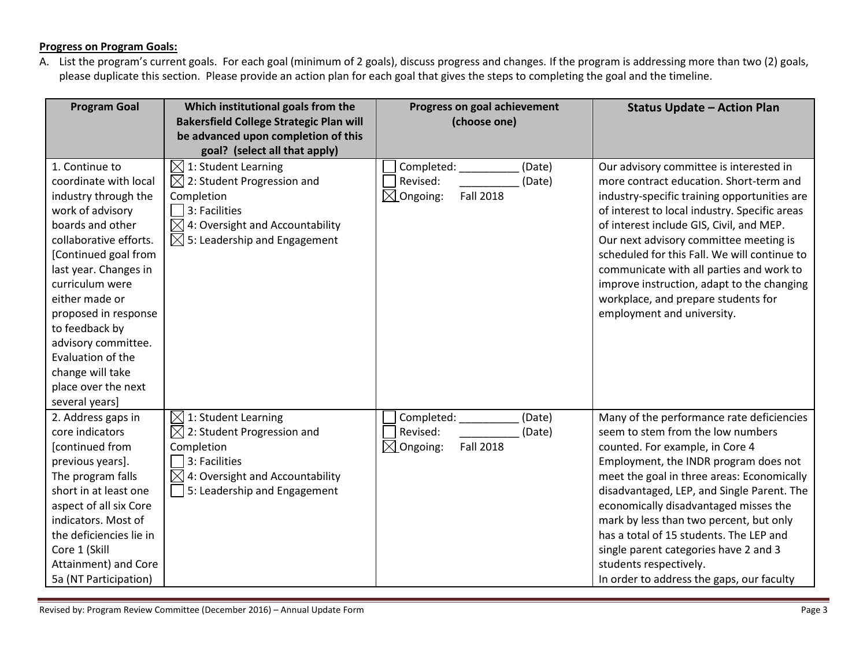# **Progress on Program Goals:**

A. List the program's current goals. For each goal (minimum of 2 goals), discuss progress and changes. If the program is addressing more than two (2) goals, please duplicate this section. Please provide an action plan for each goal that gives the steps to completing the goal and the timeline.

| <b>Program Goal</b>                                                                                                                                                                                                                                                                                                                                                        | Which institutional goals from the<br><b>Bakersfield College Strategic Plan will</b><br>be advanced upon completion of this<br>goal? (select all that apply)                                        | Progress on goal achievement<br>(choose one)                                                    | <b>Status Update - Action Plan</b>                                                                                                                                                                                                                                                                                                                                                                                                                                                                    |
|----------------------------------------------------------------------------------------------------------------------------------------------------------------------------------------------------------------------------------------------------------------------------------------------------------------------------------------------------------------------------|-----------------------------------------------------------------------------------------------------------------------------------------------------------------------------------------------------|-------------------------------------------------------------------------------------------------|-------------------------------------------------------------------------------------------------------------------------------------------------------------------------------------------------------------------------------------------------------------------------------------------------------------------------------------------------------------------------------------------------------------------------------------------------------------------------------------------------------|
| 1. Continue to<br>coordinate with local<br>industry through the<br>work of advisory<br>boards and other<br>collaborative efforts.<br>[Continued goal from<br>last year. Changes in<br>curriculum were<br>either made or<br>proposed in response<br>to feedback by<br>advisory committee.<br>Evaluation of the<br>change will take<br>place over the next<br>several years] | $\boxtimes$ 1: Student Learning<br>$\boxtimes$ 2: Student Progression and<br>Completion<br>3: Facilities<br>$\boxtimes$ 4: Oversight and Accountability<br>$\boxtimes$ 5: Leadership and Engagement | (Date)<br>Completed: _______<br>Revised:<br>(Date)<br>$\boxtimes$ Ongoing:<br><b>Fall 2018</b>  | Our advisory committee is interested in<br>more contract education. Short-term and<br>industry-specific training opportunities are<br>of interest to local industry. Specific areas<br>of interest include GIS, Civil, and MEP.<br>Our next advisory committee meeting is<br>scheduled for this Fall. We will continue to<br>communicate with all parties and work to<br>improve instruction, adapt to the changing<br>workplace, and prepare students for<br>employment and university.              |
| 2. Address gaps in<br>core indicators<br>[continued from<br>previous years].<br>The program falls<br>short in at least one<br>aspect of all six Core<br>indicators. Most of<br>the deficiencies lie in<br>Core 1 (Skill<br>Attainment) and Core<br>5a (NT Participation)                                                                                                   | $\boxtimes$ 1: Student Learning<br>$\boxtimes$ 2: Student Progression and<br>Completion<br>3: Facilities<br>$\boxtimes$ 4: Oversight and Accountability<br>5: Leadership and Engagement             | Completed: ________<br>(Date)<br>Revised:<br>(Date)<br>$\boxtimes$ Ongoing:<br><b>Fall 2018</b> | Many of the performance rate deficiencies<br>seem to stem from the low numbers<br>counted. For example, in Core 4<br>Employment, the INDR program does not<br>meet the goal in three areas: Economically<br>disadvantaged, LEP, and Single Parent. The<br>economically disadvantaged misses the<br>mark by less than two percent, but only<br>has a total of 15 students. The LEP and<br>single parent categories have 2 and 3<br>students respectively.<br>In order to address the gaps, our faculty |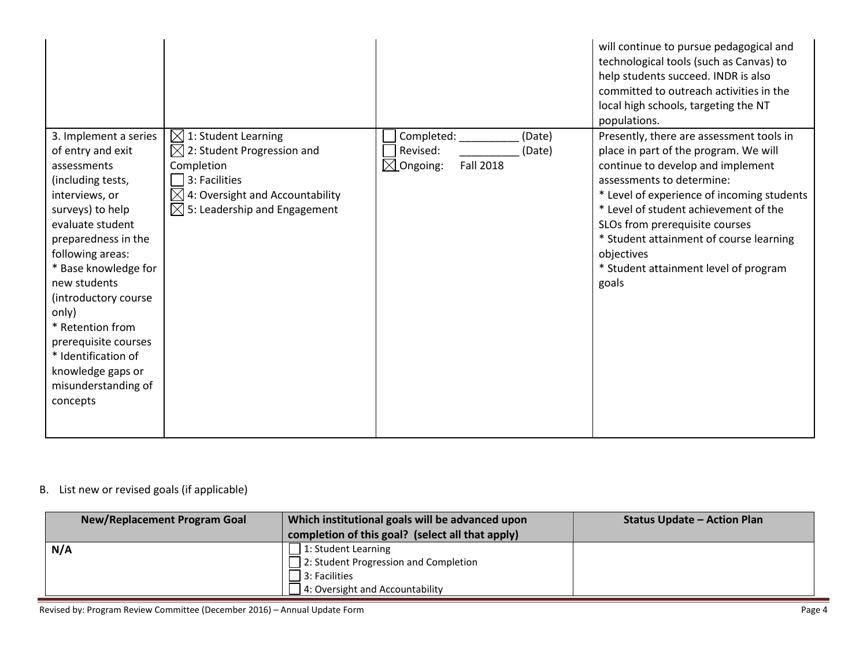|                                                                                                                                                                                                                                                                                                                                                                                         |                                                                                                                                                                                             |                                                                                        | will continue to pursue pedagogical and<br>technological tools (such as Canvas) to<br>help students succeed. INDR is also<br>committed to outreach activities in the<br>local high schools, targeting the NT<br>populations.                                                                                                                                                            |
|-----------------------------------------------------------------------------------------------------------------------------------------------------------------------------------------------------------------------------------------------------------------------------------------------------------------------------------------------------------------------------------------|---------------------------------------------------------------------------------------------------------------------------------------------------------------------------------------------|----------------------------------------------------------------------------------------|-----------------------------------------------------------------------------------------------------------------------------------------------------------------------------------------------------------------------------------------------------------------------------------------------------------------------------------------------------------------------------------------|
| 3. Implement a series<br>of entry and exit<br>assessments<br>(including tests,<br>interviews, or<br>surveys) to help<br>evaluate student<br>preparedness in the<br>following areas:<br>* Base knowledge for<br>new students<br>(introductory course<br>only)<br>* Retention from<br>prerequisite courses<br>* Identification of<br>knowledge gaps or<br>misunderstanding of<br>concepts | $[$ 1: Student Learning<br>$\boxtimes$ 2: Student Progression and<br>Completion<br>3: Facilities<br>$\boxtimes$ 4: Oversight and Accountability<br>$\boxtimes$ 5: Leadership and Engagement | Completed:<br>(Date)<br>Revised:<br>(Date)<br>$\boxtimes$ Ongoing:<br><b>Fall 2018</b> | Presently, there are assessment tools in<br>place in part of the program. We will<br>continue to develop and implement<br>assessments to determine:<br>* Level of experience of incoming students<br>* Level of student achievement of the<br>SLOs from prerequisite courses<br>* Student attainment of course learning<br>objectives<br>* Student attainment level of program<br>goals |

# B. List new or revised goals (if applicable)

| Which institutional goals will be advanced upon  | <b>Status Update - Action Plan</b> |
|--------------------------------------------------|------------------------------------|
| completion of this goal? (select all that apply) |                                    |
| 1: Student Learning                              |                                    |
| 2: Student Progression and Completion            |                                    |
| 3: Facilities                                    |                                    |
| 4: Oversight and Accountability                  |                                    |
|                                                  |                                    |

Revised by: Program Review Committee (December 2016) – Annual Update Form Page 4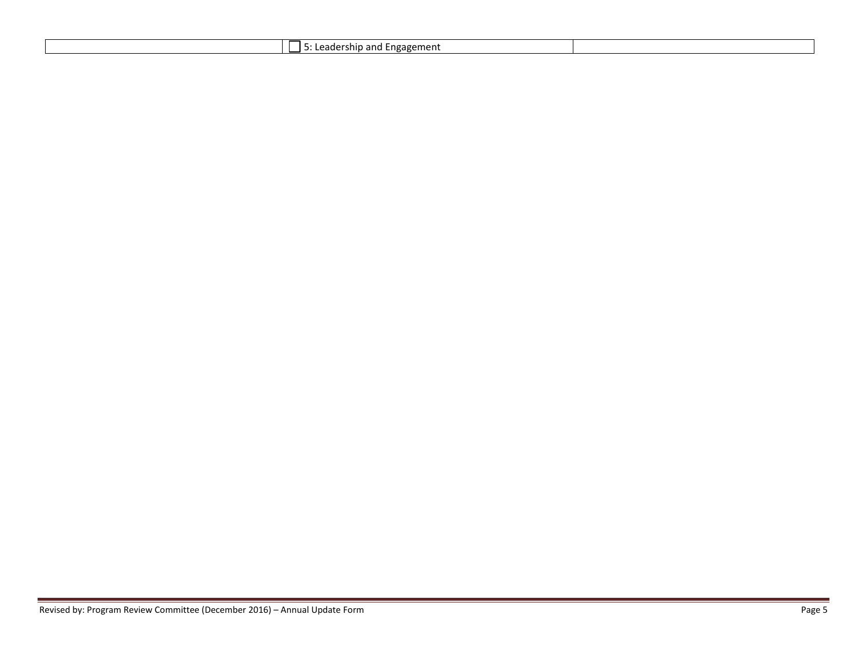| . Engagement<br>rship and l<br>eduers |
|---------------------------------------|
|---------------------------------------|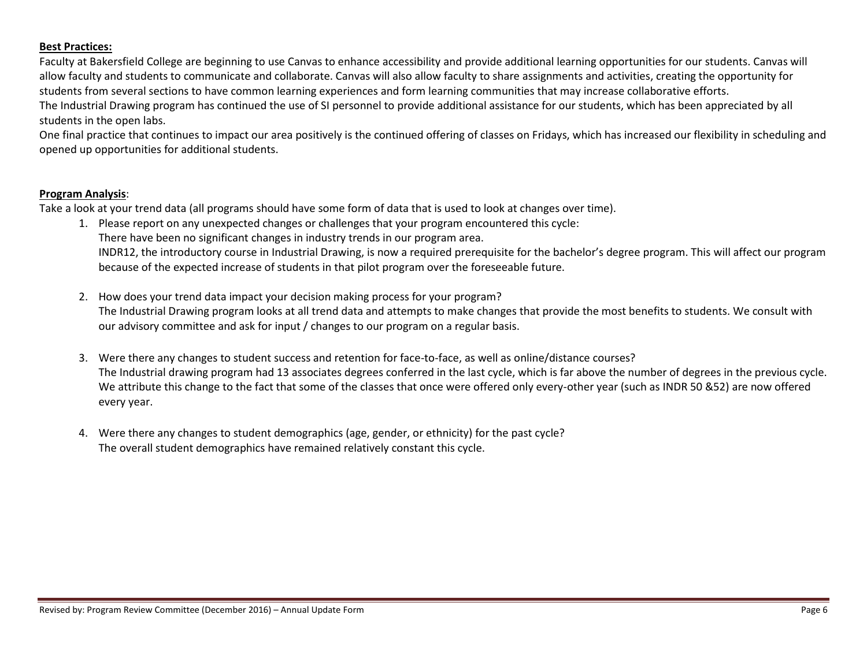### **Best Practices:**

Faculty at Bakersfield College are beginning to use Canvas to enhance accessibility and provide additional learning opportunities for our students. Canvas will allow faculty and students to communicate and collaborate. Canvas will also allow faculty to share assignments and activities, creating the opportunity for students from several sections to have common learning experiences and form learning communities that may increase collaborative efforts. The Industrial Drawing program has continued the use of SI personnel to provide additional assistance for our students, which has been appreciated by all students in the open labs.

One final practice that continues to impact our area positively is the continued offering of classes on Fridays, which has increased our flexibility in scheduling and opened up opportunities for additional students.

#### **Program Analysis**:

Take a look at your trend data (all programs should have some form of data that is used to look at changes over time).

- 1. Please report on any unexpected changes or challenges that your program encountered this cycle: There have been no significant changes in industry trends in our program area. INDR12, the introductory course in Industrial Drawing, is now a required prerequisite for the bachelor's degree program. This will affect our program because of the expected increase of students in that pilot program over the foreseeable future.
- 2. How does your trend data impact your decision making process for your program? The Industrial Drawing program looks at all trend data and attempts to make changes that provide the most benefits to students. We consult with our advisory committee and ask for input / changes to our program on a regular basis.
- 3. Were there any changes to student success and retention for face-to-face, as well as online/distance courses? The Industrial drawing program had 13 associates degrees conferred in the last cycle, which is far above the number of degrees in the previous cycle. We attribute this change to the fact that some of the classes that once were offered only every-other year (such as INDR 50 &52) are now offered every year.
- 4. Were there any changes to student demographics (age, gender, or ethnicity) for the past cycle? The overall student demographics have remained relatively constant this cycle.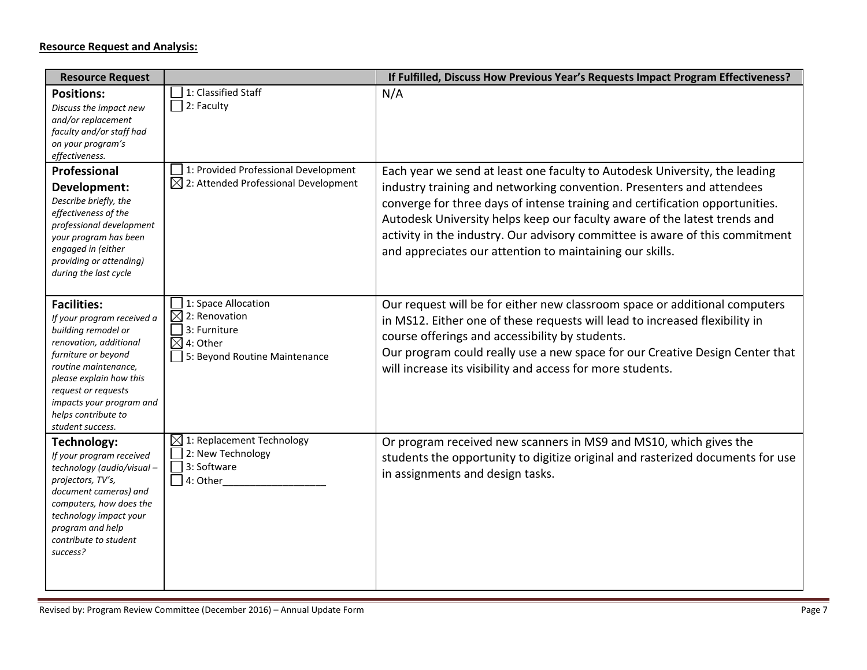## **Resource Request and Analysis:**

| <b>Resource Request</b>                                                                                                                                                                                                                                                   |                                                                                                                           | If Fulfilled, Discuss How Previous Year's Requests Impact Program Effectiveness?                                                                                                                                                                                                                                                                                                                                                                             |
|---------------------------------------------------------------------------------------------------------------------------------------------------------------------------------------------------------------------------------------------------------------------------|---------------------------------------------------------------------------------------------------------------------------|--------------------------------------------------------------------------------------------------------------------------------------------------------------------------------------------------------------------------------------------------------------------------------------------------------------------------------------------------------------------------------------------------------------------------------------------------------------|
| <b>Positions:</b><br>Discuss the impact new<br>and/or replacement<br>faculty and/or staff had<br>on your program's<br>effectiveness.                                                                                                                                      | 1: Classified Staff<br>$\Box$ 2: Faculty                                                                                  | N/A                                                                                                                                                                                                                                                                                                                                                                                                                                                          |
| Professional<br>Development:<br>Describe briefly, the<br>effectiveness of the<br>professional development<br>your program has been<br>engaged in (either<br>providing or attending)<br>during the last cycle                                                              | 1: Provided Professional Development<br>$\boxtimes$ 2: Attended Professional Development                                  | Each year we send at least one faculty to Autodesk University, the leading<br>industry training and networking convention. Presenters and attendees<br>converge for three days of intense training and certification opportunities.<br>Autodesk University helps keep our faculty aware of the latest trends and<br>activity in the industry. Our advisory committee is aware of this commitment<br>and appreciates our attention to maintaining our skills. |
| <b>Facilities:</b><br>If your program received a<br>building remodel or<br>renovation, additional<br>furniture or beyond<br>routine maintenance,<br>please explain how this<br>request or requests<br>impacts your program and<br>helps contribute to<br>student success. | 1: Space Allocation<br>$\boxtimes$ 2: Renovation<br>3: Furniture<br>$\boxtimes$ 4: Other<br>5: Beyond Routine Maintenance | Our request will be for either new classroom space or additional computers<br>in MS12. Either one of these requests will lead to increased flexibility in<br>course offerings and accessibility by students.<br>Our program could really use a new space for our Creative Design Center that<br>will increase its visibility and access for more students.                                                                                                   |
| Technology:<br>If your program received<br>technology (audio/visual-<br>projectors, TV's,<br>document cameras) and<br>computers, how does the<br>technology impact your<br>program and help<br>contribute to student<br>success?                                          | $\boxtimes$ 1: Replacement Technology<br>2: New Technology<br>3: Software<br>$4:$ Other                                   | Or program received new scanners in MS9 and MS10, which gives the<br>students the opportunity to digitize original and rasterized documents for use<br>in assignments and design tasks.                                                                                                                                                                                                                                                                      |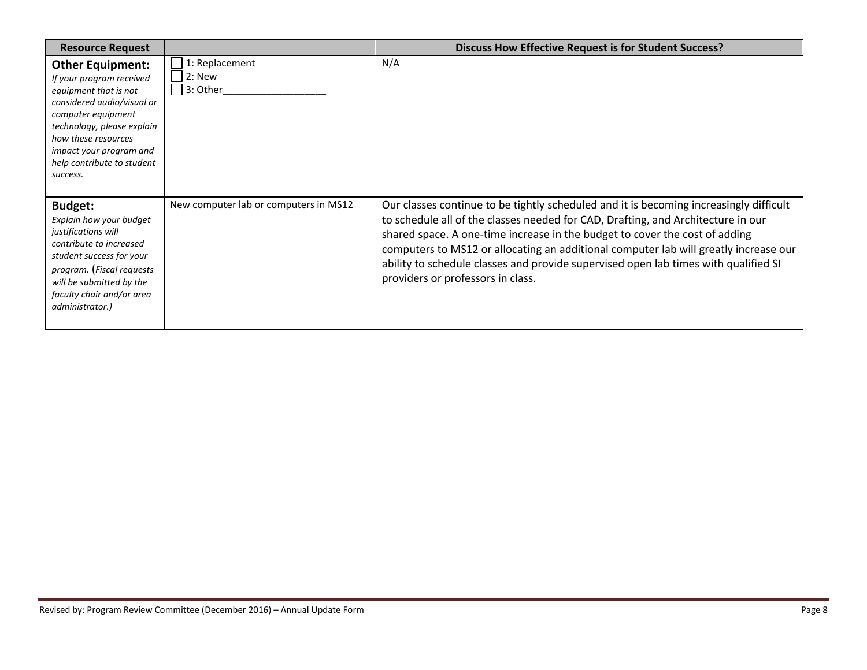| <b>Resource Request</b>                                                                                                                                                                                                                                    |                                            | <b>Discuss How Effective Request is for Student Success?</b>                                                                                                                                                                                                                                                                                                                                                                                                                  |
|------------------------------------------------------------------------------------------------------------------------------------------------------------------------------------------------------------------------------------------------------------|--------------------------------------------|-------------------------------------------------------------------------------------------------------------------------------------------------------------------------------------------------------------------------------------------------------------------------------------------------------------------------------------------------------------------------------------------------------------------------------------------------------------------------------|
| <b>Other Equipment:</b><br>If your program received<br>equipment that is not<br>considered audio/visual or<br>computer equipment<br>technology, please explain<br>how these resources<br>impact your program and<br>help contribute to student<br>success. | 1: Replacement<br>$12:$ New<br>$ 3:$ Other | N/A                                                                                                                                                                                                                                                                                                                                                                                                                                                                           |
| <b>Budget:</b><br>Explain how your budget<br>justifications will<br>contribute to increased<br>student success for your<br>program. (Fiscal requests<br>will be submitted by the<br>faculty chair and/or area<br>administrator.)                           | New computer lab or computers in MS12      | Our classes continue to be tightly scheduled and it is becoming increasingly difficult<br>to schedule all of the classes needed for CAD, Drafting, and Architecture in our<br>shared space. A one-time increase in the budget to cover the cost of adding<br>computers to MS12 or allocating an additional computer lab will greatly increase our<br>ability to schedule classes and provide supervised open lab times with qualified SI<br>providers or professors in class. |